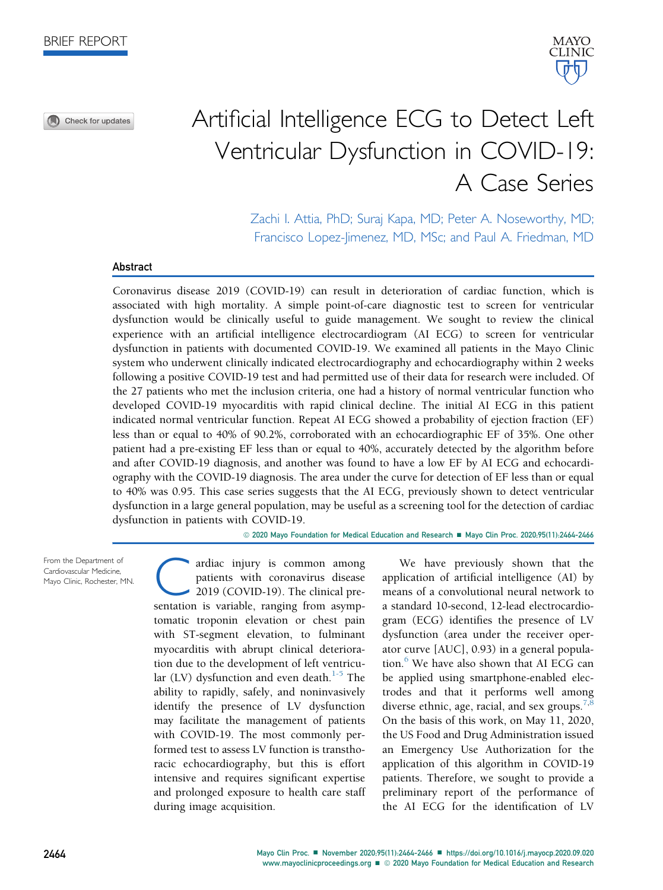



Zachi I. Attia, PhD; Suraj Kapa, MD; Peter A. Noseworthy, MD; Francisco Lopez-Jimenez, MD, MSc; and Paul A. Friedman, MD

MAYO **CLINIC** 

## Abstract

Coronavirus disease 2019 (COVID-19) can result in deterioration of cardiac function, which is associated with high mortality. A simple point-of-care diagnostic test to screen for ventricular dysfunction would be clinically useful to guide management. We sought to review the clinical experience with an artificial intelligence electrocardiogram (AI ECG) to screen for ventricular dysfunction in patients with documented COVID-19. We examined all patients in the Mayo Clinic system who underwent clinically indicated electrocardiography and echocardiography within 2 weeks following a positive COVID-19 test and had permitted use of their data for research were included. Of the 27 patients who met the inclusion criteria, one had a history of normal ventricular function who developed COVID-19 myocarditis with rapid clinical decline. The initial AI ECG in this patient indicated normal ventricular function. Repeat AI ECG showed a probability of ejection fraction (EF) less than or equal to 40% of 90.2%, corroborated with an echocardiographic EF of 35%. One other patient had a pre-existing EF less than or equal to 40%, accurately detected by the algorithm before and after COVID-19 diagnosis, and another was found to have a low EF by AI ECG and echocardiography with the COVID-19 diagnosis. The area under the curve for detection of EF less than or equal to 40% was 0.95. This case series suggests that the AI ECG, previously shown to detect ventricular dysfunction in a large general population, may be useful as a screening tool for the detection of cardiac dysfunction in patients with COVID-19.

© 2020 Mayo Foundation for Medical Education and Research ■ Mayo Clin Proc. 2020;95(11):2464-2466

From the Department of Cardiovascular Medicine, Mayo Clinic, Rochester, MN.

ardiac injury is common among<br>patients with coronavirus disease<br>2019 (COVID-19). The clinical pre-<br>sentation is variable ranging from asymppatients with coronavirus disease 2019 (COVID-19). The clinical presentation is variable, ranging from asymptomatic troponin elevation or chest pain with ST-segment elevation, to fulminant myocarditis with abrupt clinical deterioration due to the development of left ventricular  $(LV)$  dysfunction and even death.<sup>[1-5](#page-2-0)</sup> The ability to rapidly, safely, and noninvasively identify the presence of LV dysfunction may facilitate the management of patients with COVID-19. The most commonly performed test to assess LV function is transthoracic echocardiography, but this is effort intensive and requires significant expertise and prolonged exposure to health care staff during image acquisition.

We have previously shown that the application of artificial intelligence (AI) by means of a convolutional neural network to a standard 10-second, 12-lead electrocardiogram (ECG) identifies the presence of LV dysfunction (area under the receiver operator curve [AUC], 0.93) in a general population. $6$  We have also shown that AI ECG can be applied using smartphone-enabled electrodes and that it performs well among diverse ethnic, age, racial, and sex groups.<sup>[7,](#page-2-2)[8](#page-2-3)</sup> On the basis of this work, on May 11, 2020, the US Food and Drug Administration issued an Emergency Use Authorization for the application of this algorithm in COVID-19 patients. Therefore, we sought to provide a preliminary report of the performance of the AI ECG for the identification of LV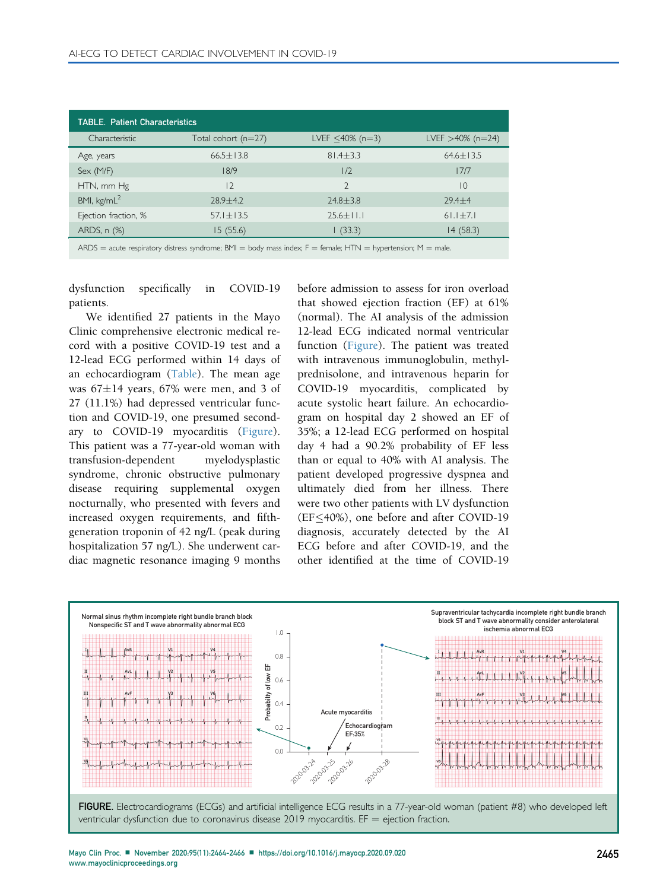<span id="page-1-0"></span>

| <b>TABLE. Patient Characteristics</b> |                       |                        |                     |
|---------------------------------------|-----------------------|------------------------|---------------------|
| Characteristic                        | Total cohort $(n=27)$ | LVEF $\leq 40\%$ (n=3) | LVEF $>40\%$ (n=24) |
| Age, years                            | $66.5 \pm 13.8$       | $81.4 \pm 3.3$         | $64.6 \pm 13.5$     |
| Sex (M/F)                             | 18/9                  | 1/2                    | 17/7                |
| HTN, mm Hg                            | $\overline{2}$        | $\mathcal{D}$          | $\overline{10}$     |
| BMI, kg/mL <sup>2</sup>               | $78.9 + 4.7$          | $74.8 + 3.8$           | $79.4 + 4$          |
| Ejection fraction, %                  | $57.1 \pm 13.5$       | $25.6 \pm 11.1$        | $61.1 \pm 7.1$      |
| ARDS, n (%)                           | 15 (55.6)             | (33.3)                 | 14(58.3)            |

 $ARDS =$  acute respiratory distress syndrome; BMI = body mass index; F = female; HTN = hypertension; M = male.

dysfunction specifically in COVID-19 patients.

We identified 27 patients in the Mayo Clinic comprehensive electronic medical record with a positive COVID-19 test and a 12-lead ECG performed within 14 days of an echocardiogram ([Table](#page-1-0)). The mean age was  $67\pm14$  years, 67% were men, and 3 of 27 (11.1%) had depressed ventricular function and COVID-19, one presumed secondary to COVID-19 myocarditis ([Figure](#page-1-1)). This patient was a 77-year-old woman with transfusion-dependent myelodysplastic syndrome, chronic obstructive pulmonary disease requiring supplemental oxygen nocturnally, who presented with fevers and increased oxygen requirements, and fifthgeneration troponin of 42 ng/L (peak during hospitalization 57 ng/L). She underwent cardiac magnetic resonance imaging 9 months before admission to assess for iron overload that showed ejection fraction (EF) at 61% (normal). The AI analysis of the admission 12-lead ECG indicated normal ventricular function ([Figure\)](#page-1-1). The patient was treated with intravenous immunoglobulin, methylprednisolone, and intravenous heparin for COVID-19 myocarditis, complicated by acute systolic heart failure. An echocardiogram on hospital day 2 showed an EF of 35%; a 12-lead ECG performed on hospital day 4 had a 90.2% probability of EF less than or equal to 40% with AI analysis. The patient developed progressive dyspnea and ultimately died from her illness. There were two other patients with LV dysfunction  $(EF\leq 40\%)$ , one before and after COVID-19 diagnosis, accurately detected by the AI ECG before and after COVID-19, and the other identified at the time of COVID-19

<span id="page-1-1"></span>

FIGURE. Electrocardiograms (ECGs) and artificial intelligence ECG results in a 77-year-old woman (patient #8) who developed left ventricular dysfunction due to coronavirus disease 2019 myocarditis. EF = ejection fraction.